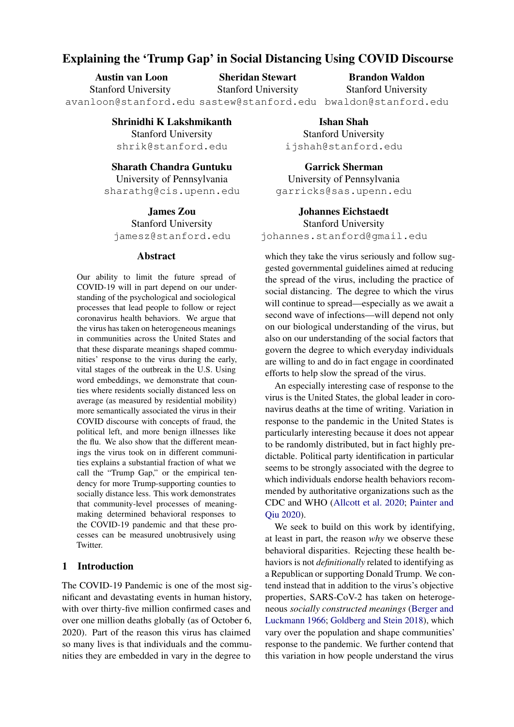# Explaining the 'Trump Gap' in Social Distancing Using COVID Discourse

| <b>Austin van Loon</b>                                         | <b>Sheridan Stewart</b>    | <b>Brandon Waldon</b>      |
|----------------------------------------------------------------|----------------------------|----------------------------|
| <b>Stanford University</b>                                     | <b>Stanford University</b> | <b>Stanford University</b> |
| avanloon@stanford.edu sastew@stanford.edu bwaldon@stanford.edu |                            |                            |

Shrinidhi K Lakshmikanth Stanford University shrik@stanford.edu

# Sharath Chandra Guntuku

University of Pennsylvania sharathg@cis.upenn.edu

James Zou Stanford University jamesz@stanford.edu

#### Abstract

Our ability to limit the future spread of COVID-19 will in part depend on our understanding of the psychological and sociological processes that lead people to follow or reject coronavirus health behaviors. We argue that the virus has taken on heterogeneous meanings in communities across the United States and that these disparate meanings shaped communities' response to the virus during the early, vital stages of the outbreak in the U.S. Using word embeddings, we demonstrate that counties where residents socially distanced less on average (as measured by residential mobility) more semantically associated the virus in their COVID discourse with concepts of fraud, the political left, and more benign illnesses like the flu. We also show that the different meanings the virus took on in different communities explains a substantial fraction of what we call the "Trump Gap," or the empirical tendency for more Trump-supporting counties to socially distance less. This work demonstrates that community-level processes of meaningmaking determined behavioral responses to the COVID-19 pandemic and that these processes can be measured unobtrusively using Twitter.

## 1 Introduction

The COVID-19 Pandemic is one of the most significant and devastating events in human history, with over thirty-five million confirmed cases and over one million deaths globally (as of October 6, 2020). Part of the reason this virus has claimed so many lives is that individuals and the communities they are embedded in vary in the degree to

Ishan Shah Stanford University ijshah@stanford.edu

Garrick Sherman University of Pennsylvania garricks@sas.upenn.edu

Johannes Eichstaedt Stanford University johannes.stanford@gmail.edu

which they take the virus seriously and follow suggested governmental guidelines aimed at reducing the spread of the virus, including the practice of social distancing. The degree to which the virus will continue to spread—especially as we await a second wave of infections—will depend not only on our biological understanding of the virus, but also on our understanding of the social factors that govern the degree to which everyday individuals are willing to and do in fact engage in coordinated efforts to help slow the spread of the virus.

An especially interesting case of response to the virus is the United States, the global leader in coronavirus deaths at the time of writing. Variation in response to the pandemic in the United States is particularly interesting because it does not appear to be randomly distributed, but in fact highly predictable. Political party identification in particular seems to be strongly associated with the degree to which individuals endorse health behaviors recommended by authoritative organizations such as the CDC and WHO [\(Allcott et al.](#page-8-0) [2020;](#page-8-0) [Painter and](#page-9-0) [Qiu](#page-9-0) [2020\)](#page-9-0).

We seek to build on this work by identifying, at least in part, the reason *why* we observe these behavioral disparities. Rejecting these health behaviors is not *definitionally* related to identifying as a Republican or supporting Donald Trump. We contend instead that in addition to the virus's objective properties, SARS-CoV-2 has taken on heterogeneous *socially constructed meanings* [\(Berger and](#page-8-1) [Luckmann](#page-8-1) [1966;](#page-8-1) [Goldberg and Stein](#page-9-1) [2018\)](#page-9-1), which vary over the population and shape communities' response to the pandemic. We further contend that this variation in how people understand the virus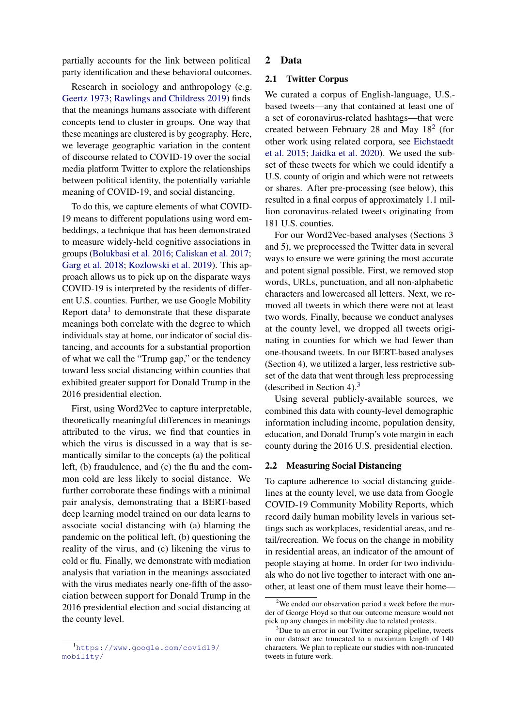partially accounts for the link between political party identification and these behavioral outcomes.

Research in sociology and anthropology (e.g. [Geertz](#page-9-2) [1973;](#page-9-2) [Rawlings and Childress](#page-9-3) [2019\)](#page-9-3) finds that the meanings humans associate with different concepts tend to cluster in groups. One way that these meanings are clustered is by geography. Here, we leverage geographic variation in the content of discourse related to COVID-19 over the social media platform Twitter to explore the relationships between political identity, the potentially variable meaning of COVID-19, and social distancing.

To do this, we capture elements of what COVID-19 means to different populations using word embeddings, a technique that has been demonstrated to measure widely-held cognitive associations in groups [\(Bolukbasi et al.](#page-9-4) [2016;](#page-9-4) [Caliskan et al.](#page-9-5) [2017;](#page-9-5) [Garg et al.](#page-9-6) [2018;](#page-9-6) [Kozlowski et al.](#page-9-7) [2019\)](#page-9-7). This approach allows us to pick up on the disparate ways COVID-19 is interpreted by the residents of different U.S. counties. Further, we use Google Mobility Report data $<sup>1</sup>$  $<sup>1</sup>$  $<sup>1</sup>$  to demonstrate that these disparate</sup> meanings both correlate with the degree to which individuals stay at home, our indicator of social distancing, and accounts for a substantial proportion of what we call the "Trump gap," or the tendency toward less social distancing within counties that exhibited greater support for Donald Trump in the 2016 presidential election.

First, using Word2Vec to capture interpretable, theoretically meaningful differences in meanings attributed to the virus, we find that counties in which the virus is discussed in a way that is semantically similar to the concepts (a) the political left, (b) fraudulence, and (c) the flu and the common cold are less likely to social distance. We further corroborate these findings with a minimal pair analysis, demonstrating that a BERT-based deep learning model trained on our data learns to associate social distancing with (a) blaming the pandemic on the political left, (b) questioning the reality of the virus, and (c) likening the virus to cold or flu. Finally, we demonstrate with mediation analysis that variation in the meanings associated with the virus mediates nearly one-fifth of the association between support for Donald Trump in the 2016 presidential election and social distancing at the county level.

#### 2 Data

### 2.1 Twitter Corpus

We curated a corpus of English-language, U.S. based tweets—any that contained at least one of a set of coronavirus-related hashtags—that were created between February [2](#page-1-1)8 and May  $18<sup>2</sup>$  (for other work using related corpora, see [Eichstaedt](#page-9-8) [et al.](#page-9-8) [2015;](#page-9-8) [Jaidka et al.](#page-9-9) [2020\)](#page-9-9). We used the subset of these tweets for which we could identify a U.S. county of origin and which were not retweets or shares. After pre-processing (see below), this resulted in a final corpus of approximately 1.1 million coronavirus-related tweets originating from 181 U.S. counties.

For our Word2Vec-based analyses (Sections 3 and 5), we preprocessed the Twitter data in several ways to ensure we were gaining the most accurate and potent signal possible. First, we removed stop words, URLs, punctuation, and all non-alphabetic characters and lowercased all letters. Next, we removed all tweets in which there were not at least two words. Finally, because we conduct analyses at the county level, we dropped all tweets originating in counties for which we had fewer than one-thousand tweets. In our BERT-based analyses (Section 4), we utilized a larger, less restrictive subset of the data that went through less preprocessing (described in Section 4).<sup>[3](#page-1-2)</sup>

Using several publicly-available sources, we combined this data with county-level demographic information including income, population density, education, and Donald Trump's vote margin in each county during the 2016 U.S. presidential election.

#### 2.2 Measuring Social Distancing

To capture adherence to social distancing guidelines at the county level, we use data from Google COVID-19 Community Mobility Reports, which record daily human mobility levels in various settings such as workplaces, residential areas, and retail/recreation. We focus on the change in mobility in residential areas, an indicator of the amount of people staying at home. In order for two individuals who do not live together to interact with one another, at least one of them must leave their home—

<span id="page-1-0"></span><sup>1</sup>[https://www.google.com/covid19/](https://www.google.com/covid19/mobility/) [mobility/](https://www.google.com/covid19/mobility/)

<span id="page-1-1"></span><sup>&</sup>lt;sup>2</sup>We ended our observation period a week before the murder of George Floyd so that our outcome measure would not pick up any changes in mobility due to related protests.

<span id="page-1-2"></span><sup>&</sup>lt;sup>3</sup>Due to an error in our Twitter scraping pipeline, tweets in our dataset are truncated to a maximum length of 140 characters. We plan to replicate our studies with non-truncated tweets in future work.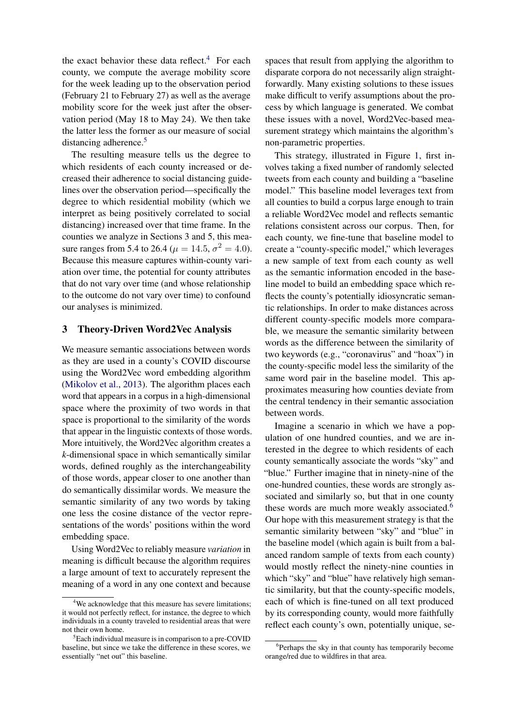the exact behavior these data reflect.<sup>[4](#page-2-0)</sup> For each county, we compute the average mobility score for the week leading up to the observation period (February 21 to February 27) as well as the average mobility score for the week just after the observation period (May 18 to May 24). We then take the latter less the former as our measure of social distancing adherence.<sup>[5](#page-2-1)</sup>

The resulting measure tells us the degree to which residents of each county increased or decreased their adherence to social distancing guidelines over the observation period—specifically the degree to which residential mobility (which we interpret as being positively correlated to social distancing) increased over that time frame. In the counties we analyze in Sections 3 and 5, this measure ranges from 5.4 to 26.4 ( $\mu = 14.5, \sigma^2 = 4.0$ ). Because this measure captures within-county variation over time, the potential for county attributes that do not vary over time (and whose relationship to the outcome do not vary over time) to confound our analyses is minimized.

## 3 Theory-Driven Word2Vec Analysis

We measure semantic associations between words as they are used in a county's COVID discourse using the Word2Vec word embedding algorithm [\(Mikolov et al.,](#page-9-10) [2013\)](#page-9-10). The algorithm places each word that appears in a corpus in a high-dimensional space where the proximity of two words in that space is proportional to the similarity of the words that appear in the linguistic contexts of those words. More intuitively, the Word2Vec algorithm creates a *k*-dimensional space in which semantically similar words, defined roughly as the interchangeability of those words, appear closer to one another than do semantically dissimilar words. We measure the semantic similarity of any two words by taking one less the cosine distance of the vector representations of the words' positions within the word embedding space.

Using Word2Vec to reliably measure *variation* in meaning is difficult because the algorithm requires a large amount of text to accurately represent the meaning of a word in any one context and because spaces that result from applying the algorithm to disparate corpora do not necessarily align straightforwardly. Many existing solutions to these issues make difficult to verify assumptions about the process by which language is generated. We combat these issues with a novel, Word2Vec-based measurement strategy which maintains the algorithm's non-parametric properties.

This strategy, illustrated in Figure [1,](#page-3-0) first involves taking a fixed number of randomly selected tweets from each county and building a "baseline model." This baseline model leverages text from all counties to build a corpus large enough to train a reliable Word2Vec model and reflects semantic relations consistent across our corpus. Then, for each county, we fine-tune that baseline model to create a "county-specific model," which leverages a new sample of text from each county as well as the semantic information encoded in the baseline model to build an embedding space which reflects the county's potentially idiosyncratic semantic relationships. In order to make distances across different county-specific models more comparable, we measure the semantic similarity between words as the difference between the similarity of two keywords (e.g., "coronavirus" and "hoax") in the county-specific model less the similarity of the same word pair in the baseline model. This approximates measuring how counties deviate from the central tendency in their semantic association between words.

Imagine a scenario in which we have a population of one hundred counties, and we are interested in the degree to which residents of each county semantically associate the words "sky" and "blue." Further imagine that in ninety-nine of the one-hundred counties, these words are strongly associated and similarly so, but that in one county these words are much more weakly associated.<sup>[6](#page-2-2)</sup> Our hope with this measurement strategy is that the semantic similarity between "sky" and "blue" in the baseline model (which again is built from a balanced random sample of texts from each county) would mostly reflect the ninety-nine counties in which "sky" and "blue" have relatively high semantic similarity, but that the county-specific models, each of which is fine-tuned on all text produced by its corresponding county, would more faithfully reflect each county's own, potentially unique, se-

<span id="page-2-0"></span><sup>&</sup>lt;sup>4</sup>We acknowledge that this measure has severe limitations; it would not perfectly reflect, for instance, the degree to which individuals in a county traveled to residential areas that were not their own home.

<span id="page-2-1"></span><sup>5</sup>Each individual measure is in comparison to a pre-COVID baseline, but since we take the difference in these scores, we essentially "net out" this baseline.

<span id="page-2-2"></span><sup>&</sup>lt;sup>6</sup>Perhaps the sky in that county has temporarily become orange/red due to wildfires in that area.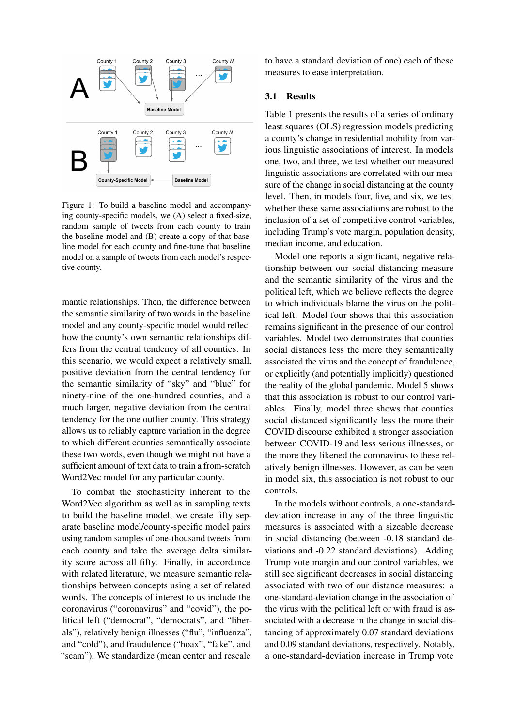<span id="page-3-0"></span>

Figure 1: To build a baseline model and accompanying county-specific models, we (A) select a fixed-size, random sample of tweets from each county to train the baseline model and (B) create a copy of that baseline model for each county and fine-tune that baseline model on a sample of tweets from each model's respective county.

mantic relationships. Then, the difference between the semantic similarity of two words in the baseline model and any county-specific model would reflect how the county's own semantic relationships differs from the central tendency of all counties. In this scenario, we would expect a relatively small, positive deviation from the central tendency for the semantic similarity of "sky" and "blue" for ninety-nine of the one-hundred counties, and a much larger, negative deviation from the central tendency for the one outlier county. This strategy allows us to reliably capture variation in the degree to which different counties semantically associate these two words, even though we might not have a sufficient amount of text data to train a from-scratch Word2Vec model for any particular county.

To combat the stochasticity inherent to the Word2Vec algorithm as well as in sampling texts to build the baseline model, we create fifty separate baseline model/county-specific model pairs using random samples of one-thousand tweets from each county and take the average delta similarity score across all fifty. Finally, in accordance with related literature, we measure semantic relationships between concepts using a set of related words. The concepts of interest to us include the coronavirus ("coronavirus" and "covid"), the political left ("democrat", "democrats", and "liberals"), relatively benign illnesses ("flu", "influenza", and "cold"), and fraudulence ("hoax", "fake", and "scam"). We standardize (mean center and rescale to have a standard deviation of one) each of these measures to ease interpretation.

#### 3.1 Results

Table 1 presents the results of a series of ordinary least squares (OLS) regression models predicting a county's change in residential mobility from various linguistic associations of interest. In models one, two, and three, we test whether our measured linguistic associations are correlated with our measure of the change in social distancing at the county level. Then, in models four, five, and six, we test whether these same associations are robust to the inclusion of a set of competitive control variables, including Trump's vote margin, population density, median income, and education.

Model one reports a significant, negative relationship between our social distancing measure and the semantic similarity of the virus and the political left, which we believe reflects the degree to which individuals blame the virus on the political left. Model four shows that this association remains significant in the presence of our control variables. Model two demonstrates that counties social distances less the more they semantically associated the virus and the concept of fraudulence, or explicitly (and potentially implicitly) questioned the reality of the global pandemic. Model 5 shows that this association is robust to our control variables. Finally, model three shows that counties social distanced significantly less the more their COVID discourse exhibited a stronger association between COVID-19 and less serious illnesses, or the more they likened the coronavirus to these relatively benign illnesses. However, as can be seen in model six, this association is not robust to our controls.

In the models without controls, a one-standarddeviation increase in any of the three linguistic measures is associated with a sizeable decrease in social distancing (between -0.18 standard deviations and -0.22 standard deviations). Adding Trump vote margin and our control variables, we still see significant decreases in social distancing associated with two of our distance measures: a one-standard-deviation change in the association of the virus with the political left or with fraud is associated with a decrease in the change in social distancing of approximately 0.07 standard deviations and 0.09 standard deviations, respectively. Notably, a one-standard-deviation increase in Trump vote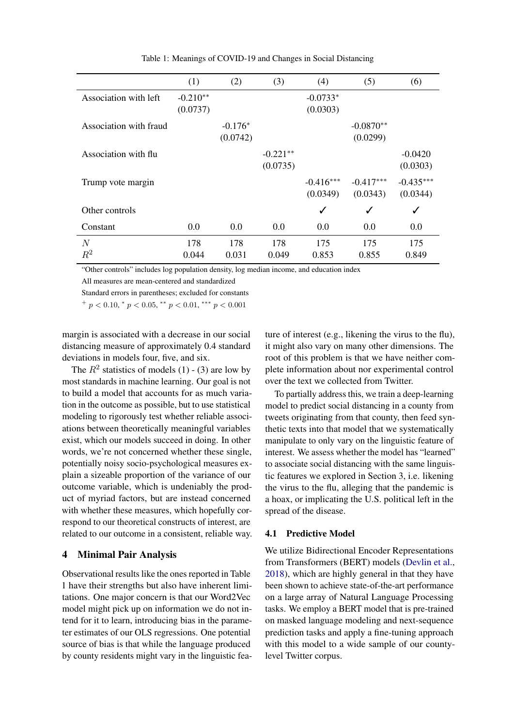|                        | (1)        | (2)       | (3)        | (4)         | (5)         | (6)          |
|------------------------|------------|-----------|------------|-------------|-------------|--------------|
| Association with left  | $-0.210**$ |           |            | $-0.0733*$  |             |              |
|                        | (0.0737)   |           |            | (0.0303)    |             |              |
| Association with fraud |            | $-0.176*$ |            |             | $-0.0870**$ |              |
|                        |            | (0.0742)  |            |             | (0.0299)    |              |
| Association with flu   |            |           | $-0.221**$ |             |             | $-0.0420$    |
|                        |            |           | (0.0735)   |             |             | (0.0303)     |
| Trump vote margin      |            |           |            | $-0.416***$ | $-0.417***$ | $-0.435***$  |
|                        |            |           |            | (0.0349)    | (0.0343)    | (0.0344)     |
| Other controls         |            |           |            | ✓           | ✓           | $\checkmark$ |
| Constant               | 0.0        | 0.0       | 0.0        | 0.0         | 0.0         | 0.0          |
| N                      | 178        | 178       | 178        | 175         | 175         | 175          |
| $R^2$                  | 0.044      | 0.031     | 0.049      | 0.853       | 0.855       | 0.849        |

Table 1: Meanings of COVID-19 and Changes in Social Distancing

"Other controls" includes log population density, log median income, and education index

All measures are mean-centered and standardized

Standard errors in parentheses; excluded for constants

 $^{+}$  p < 0.10,  $^{*}$  p < 0.05,  $^{**}$  p < 0.01,  $^{***}$  p < 0.001

margin is associated with a decrease in our social distancing measure of approximately 0.4 standard deviations in models four, five, and six.

The  $R^2$  statistics of models (1) - (3) are low by most standards in machine learning. Our goal is not to build a model that accounts for as much variation in the outcome as possible, but to use statistical modeling to rigorously test whether reliable associations between theoretically meaningful variables exist, which our models succeed in doing. In other words, we're not concerned whether these single, potentially noisy socio-psychological measures explain a sizeable proportion of the variance of our outcome variable, which is undeniably the product of myriad factors, but are instead concerned with whether these measures, which hopefully correspond to our theoretical constructs of interest, are related to our outcome in a consistent, reliable way.

#### 4 Minimal Pair Analysis

Observational results like the ones reported in Table 1 have their strengths but also have inherent limitations. One major concern is that our Word2Vec model might pick up on information we do not intend for it to learn, introducing bias in the parameter estimates of our OLS regressions. One potential source of bias is that while the language produced by county residents might vary in the linguistic feature of interest (e.g., likening the virus to the flu), it might also vary on many other dimensions. The root of this problem is that we have neither complete information about nor experimental control over the text we collected from Twitter.

To partially address this, we train a deep-learning model to predict social distancing in a county from tweets originating from that county, then feed synthetic texts into that model that we systematically manipulate to only vary on the linguistic feature of interest. We assess whether the model has "learned" to associate social distancing with the same linguistic features we explored in Section 3, i.e. likening the virus to the flu, alleging that the pandemic is a hoax, or implicating the U.S. political left in the spread of the disease.

## 4.1 Predictive Model

We utilize Bidirectional Encoder Representations from Transformers (BERT) models [\(Devlin et al.,](#page-9-11) [2018\)](#page-9-11), which are highly general in that they have been shown to achieve state-of-the-art performance on a large array of Natural Language Processing tasks. We employ a BERT model that is pre-trained on masked language modeling and next-sequence prediction tasks and apply a fine-tuning approach with this model to a wide sample of our countylevel Twitter corpus.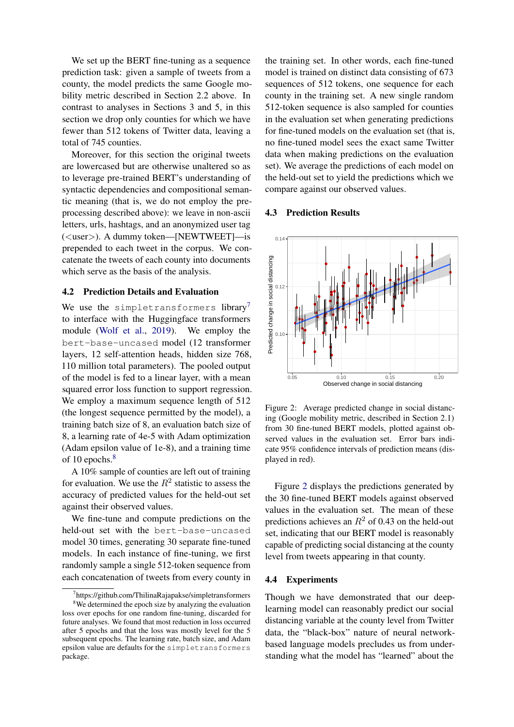We set up the BERT fine-tuning as a sequence prediction task: given a sample of tweets from a county, the model predicts the same Google mobility metric described in Section 2.2 above. In contrast to analyses in Sections 3 and 5, in this section we drop only counties for which we have fewer than 512 tokens of Twitter data, leaving a total of 745 counties.

Moreover, for this section the original tweets are lowercased but are otherwise unaltered so as to leverage pre-trained BERT's understanding of syntactic dependencies and compositional semantic meaning (that is, we do not employ the preprocessing described above): we leave in non-ascii letters, urls, hashtags, and an anonymized user tag (<user>). A dummy token—[NEWTWEET]—is prepended to each tweet in the corpus. We concatenate the tweets of each county into documents which serve as the basis of the analysis.

#### 4.2 Prediction Details and Evaluation

We use the simpletransformers library<sup>[7](#page-5-0)</sup> to interface with the Huggingface transformers module [\(Wolf et al.,](#page-9-12) [2019\)](#page-9-12). We employ the bert-base-uncased model (12 transformer layers, 12 self-attention heads, hidden size 768, 110 million total parameters). The pooled output of the model is fed to a linear layer, with a mean squared error loss function to support regression. We employ a maximum sequence length of  $512$ (the longest sequence permitted by the model), a training batch size of 8, an evaluation batch size of 8, a learning rate of 4e-5 with Adam optimization (Adam epsilon value of 1e-8), and a training time of 10 epochs.<sup>[8](#page-5-1)</sup>

A 10% sample of counties are left out of training for evaluation. We use the  $R^2$  statistic to assess the accuracy of predicted values for the held-out set against their observed values.

We fine-tune and compute predictions on the held-out set with the bert-base-uncased model 30 times, generating 30 separate fine-tuned models. In each instance of fine-tuning, we first randomly sample a single 512-token sequence from each concatenation of tweets from every county in

the training set. In other words, each fine-tuned model is trained on distinct data consisting of 673 sequences of 512 tokens, one sequence for each county in the training set. A new single random 512-token sequence is also sampled for counties in the evaluation set when generating predictions for fine-tuned models on the evaluation set (that is, no fine-tuned model sees the exact same Twitter data when making predictions on the evaluation set). We average the predictions of each model on the held-out set to yield the predictions which we compare against our observed values.

#### 4.3 Prediction Results

<span id="page-5-2"></span>

Figure 2: Average predicted change in social distancing (Google mobility metric, described in Section 2.1) from 30 fine-tuned BERT models, plotted against observed values in the evaluation set. Error bars indicate 95% confidence intervals of prediction means (displayed in red).

Figure [2](#page-5-2) displays the predictions generated by the 30 fine-tuned BERT models against observed values in the evaluation set. The mean of these predictions achieves an  $R^2$  of 0.43 on the held-out set, indicating that our BERT model is reasonably capable of predicting social distancing at the county level from tweets appearing in that county.

#### 4.4 Experiments

Though we have demonstrated that our deeplearning model can reasonably predict our social distancing variable at the county level from Twitter data, the "black-box" nature of neural networkbased language models precludes us from understanding what the model has "learned" about the

<span id="page-5-1"></span><span id="page-5-0"></span><sup>7</sup> https://github.com/ThilinaRajapakse/simpletransformers <sup>8</sup>We determined the epoch size by analyzing the evaluation loss over epochs for one random fine-tuning, discarded for future analyses. We found that most reduction in loss occurred after 5 epochs and that the loss was mostly level for the 5 subsequent epochs. The learning rate, batch size, and Adam epsilon value are defaults for the simpletransformers package.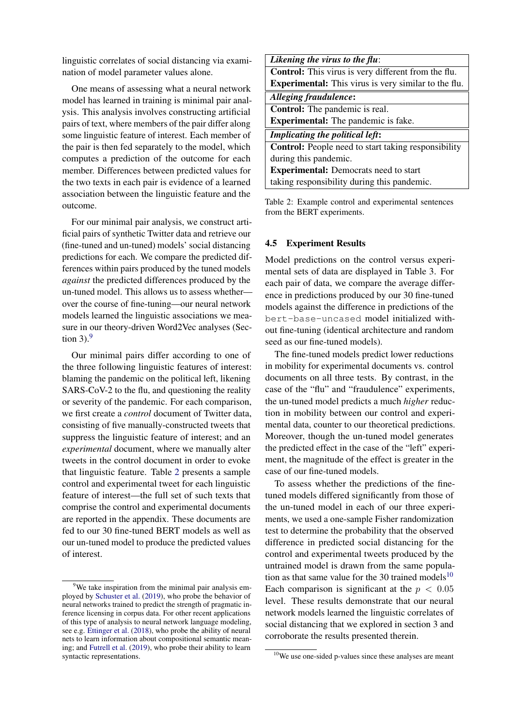linguistic correlates of social distancing via examination of model parameter values alone.

One means of assessing what a neural network model has learned in training is minimal pair analysis. This analysis involves constructing artificial pairs of text, where members of the pair differ along some linguistic feature of interest. Each member of the pair is then fed separately to the model, which computes a prediction of the outcome for each member. Differences between predicted values for the two texts in each pair is evidence of a learned association between the linguistic feature and the outcome.

For our minimal pair analysis, we construct artificial pairs of synthetic Twitter data and retrieve our (fine-tuned and un-tuned) models' social distancing predictions for each. We compare the predicted differences within pairs produced by the tuned models *against* the predicted differences produced by the un-tuned model. This allows us to assess whether over the course of fine-tuning—our neural network models learned the linguistic associations we measure in our theory-driven Word2Vec analyses (Section  $3$ ).<sup>[9](#page-6-0)</sup>

Our minimal pairs differ according to one of the three following linguistic features of interest: blaming the pandemic on the political left, likening SARS-CoV-2 to the flu, and questioning the reality or severity of the pandemic. For each comparison, we first create a *control* document of Twitter data, consisting of five manually-constructed tweets that suppress the linguistic feature of interest; and an *experimental* document, where we manually alter tweets in the control document in order to evoke that linguistic feature. Table [2](#page-6-1) presents a sample control and experimental tweet for each linguistic feature of interest—the full set of such texts that comprise the control and experimental documents are reported in the appendix. These documents are fed to our 30 fine-tuned BERT models as well as our un-tuned model to produce the predicted values of interest.

<span id="page-6-1"></span>

| Likening the virus to the flu:                              |  |  |  |  |
|-------------------------------------------------------------|--|--|--|--|
| Control: This virus is very different from the flu.         |  |  |  |  |
| <b>Experimental:</b> This virus is very similar to the flu. |  |  |  |  |
| Alleging fraudulence:                                       |  |  |  |  |
| <b>Control:</b> The pandemic is real.                       |  |  |  |  |
| <b>Experimental:</b> The pandemic is fake.                  |  |  |  |  |
| <b>Implicating the political left:</b>                      |  |  |  |  |
| <b>Control:</b> People need to start taking responsibility  |  |  |  |  |
| during this pandemic.                                       |  |  |  |  |
| <b>Experimental:</b> Democrats need to start                |  |  |  |  |
| taking responsibility during this pandemic.                 |  |  |  |  |

Table 2: Example control and experimental sentences from the BERT experiments.

#### 4.5 Experiment Results

Model predictions on the control versus experimental sets of data are displayed in Table 3. For each pair of data, we compare the average difference in predictions produced by our 30 fine-tuned models against the difference in predictions of the bert-base-uncased model initialized without fine-tuning (identical architecture and random seed as our fine-tuned models).

The fine-tuned models predict lower reductions in mobility for experimental documents vs. control documents on all three tests. By contrast, in the case of the "flu" and "fraudulence" experiments, the un-tuned model predicts a much *higher* reduction in mobility between our control and experimental data, counter to our theoretical predictions. Moreover, though the un-tuned model generates the predicted effect in the case of the "left" experiment, the magnitude of the effect is greater in the case of our fine-tuned models.

To assess whether the predictions of the finetuned models differed significantly from those of the un-tuned model in each of our three experiments, we used a one-sample Fisher randomization test to determine the probability that the observed difference in predicted social distancing for the control and experimental tweets produced by the untrained model is drawn from the same population as that same value for the 30 trained models $10$ Each comparison is significant at the  $p < 0.05$ level. These results demonstrate that our neural network models learned the linguistic correlates of social distancing that we explored in section 3 and corroborate the results presented therein.

<span id="page-6-0"></span><sup>&</sup>lt;sup>9</sup>We take inspiration from the minimal pair analysis employed by [Schuster et al.](#page-9-13) [\(2019\)](#page-9-13), who probe the behavior of neural networks trained to predict the strength of pragmatic inference licensing in corpus data. For other recent applications of this type of analysis to neural network language modeling, see e.g. [Ettinger et al.](#page-9-14) [\(2018\)](#page-9-14), who probe the ability of neural nets to learn information about compositional semantic meaning; and [Futrell et al.](#page-9-15) [\(2019\)](#page-9-15), who probe their ability to learn syntactic representations.

<span id="page-6-2"></span><sup>10</sup>We use one-sided p-values since these analyses are meant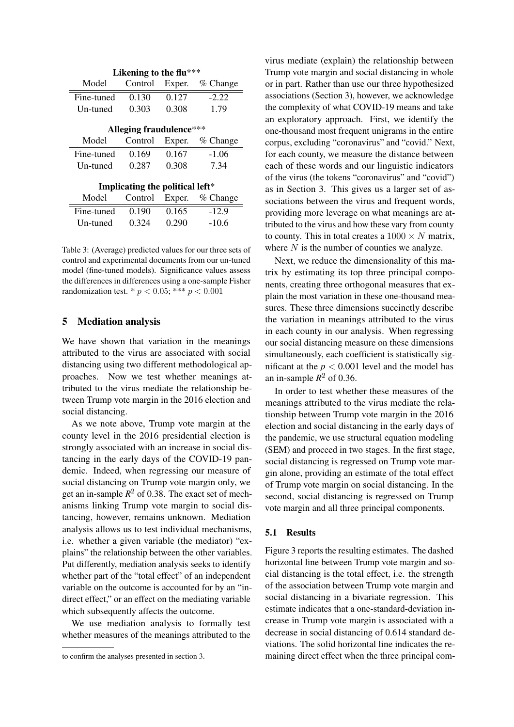| Likening to the flu***          |         |        |            |  |  |  |  |
|---------------------------------|---------|--------|------------|--|--|--|--|
| Model                           | Control | Exper. | $%$ Change |  |  |  |  |
| Fine-tuned                      | 0.130   | 0.127  | $-2.22$    |  |  |  |  |
| Un-tuned                        | 0.303   | 0.308  | 1.79       |  |  |  |  |
|                                 |         |        |            |  |  |  |  |
| <b>Alleging fraudulence***</b>  |         |        |            |  |  |  |  |
| Model                           | Control | Exper. | $%$ Change |  |  |  |  |
| Fine-tuned                      | 0.169   | 0.167  | $-1.06$    |  |  |  |  |
| Un-tuned                        | 0.287   | 0.308  | 7.34       |  |  |  |  |
|                                 |         |        |            |  |  |  |  |
| Implicating the political left* |         |        |            |  |  |  |  |
| Model                           | Control | Exper. | $%$ Change |  |  |  |  |
| Fine-tuned                      | 0.190   | 0.165  | $-12.9$    |  |  |  |  |
| Un-tuned                        | 0.324   | 0.290  | $-10.6$    |  |  |  |  |

Table 3: (Average) predicted values for our three sets of control and experimental documents from our un-tuned model (fine-tuned models). Significance values assess the differences in differences using a one-sample Fisher randomization test. \*  $p < 0.05$ ; \*\*\*  $p < 0.001$ 

#### 5 Mediation analysis

We have shown that variation in the meanings attributed to the virus are associated with social distancing using two different methodological approaches. Now we test whether meanings attributed to the virus mediate the relationship between Trump vote margin in the 2016 election and social distancing.

As we note above, Trump vote margin at the county level in the 2016 presidential election is strongly associated with an increase in social distancing in the early days of the COVID-19 pandemic. Indeed, when regressing our measure of social distancing on Trump vote margin only, we get an in-sample  $R^2$  of 0.38. The exact set of mechanisms linking Trump vote margin to social distancing, however, remains unknown. Mediation analysis allows us to test individual mechanisms, i.e. whether a given variable (the mediator) "explains" the relationship between the other variables. Put differently, mediation analysis seeks to identify whether part of the "total effect" of an independent variable on the outcome is accounted for by an "indirect effect," or an effect on the mediating variable which subsequently affects the outcome.

We use mediation analysis to formally test whether measures of the meanings attributed to the

virus mediate (explain) the relationship between Trump vote margin and social distancing in whole or in part. Rather than use our three hypothesized associations (Section 3), however, we acknowledge the complexity of what COVID-19 means and take an exploratory approach. First, we identify the one-thousand most frequent unigrams in the entire corpus, excluding "coronavirus" and "covid." Next, for each county, we measure the distance between each of these words and our linguistic indicators of the virus (the tokens "coronavirus" and "covid") as in Section 3. This gives us a larger set of associations between the virus and frequent words, providing more leverage on what meanings are attributed to the virus and how these vary from county to county. This in total creates a  $1000 \times N$  matrix, where  $N$  is the number of counties we analyze.

Next, we reduce the dimensionality of this matrix by estimating its top three principal components, creating three orthogonal measures that explain the most variation in these one-thousand measures. These three dimensions succinctly describe the variation in meanings attributed to the virus in each county in our analysis. When regressing our social distancing measure on these dimensions simultaneously, each coefficient is statistically significant at the  $p < 0.001$  level and the model has an in-sample  $R^2$  of 0.36.

In order to test whether these measures of the meanings attributed to the virus mediate the relationship between Trump vote margin in the 2016 election and social distancing in the early days of the pandemic, we use structural equation modeling (SEM) and proceed in two stages. In the first stage, social distancing is regressed on Trump vote margin alone, providing an estimate of the total effect of Trump vote margin on social distancing. In the second, social distancing is regressed on Trump vote margin and all three principal components.

#### 5.1 Results

Figure 3 reports the resulting estimates. The dashed horizontal line between Trump vote margin and social distancing is the total effect, i.e. the strength of the association between Trump vote margin and social distancing in a bivariate regression. This estimate indicates that a one-standard-deviation increase in Trump vote margin is associated with a decrease in social distancing of 0.614 standard deviations. The solid horizontal line indicates the remaining direct effect when the three principal com-

to confirm the analyses presented in section 3.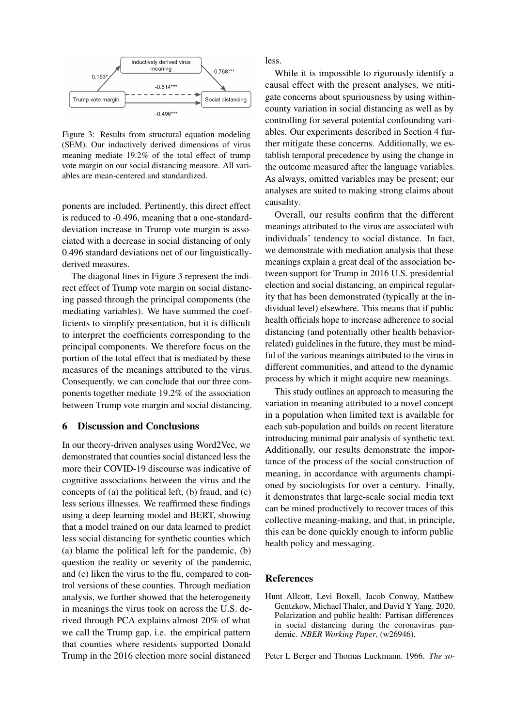

Figure 3: Results from structural equation modeling (SEM). Our inductively derived dimensions of virus meaning mediate 19.2% of the total effect of trump vote margin on our social distancing measure. All variables are mean-centered and standardized.

ponents are included. Pertinently, this direct effect is reduced to -0.496, meaning that a one-standarddeviation increase in Trump vote margin is associated with a decrease in social distancing of only 0.496 standard deviations net of our linguisticallyderived measures.

The diagonal lines in Figure 3 represent the indirect effect of Trump vote margin on social distancing passed through the principal components (the mediating variables). We have summed the coefficients to simplify presentation, but it is difficult to interpret the coefficients corresponding to the principal components. We therefore focus on the portion of the total effect that is mediated by these measures of the meanings attributed to the virus. Consequently, we can conclude that our three components together mediate 19.2% of the association between Trump vote margin and social distancing.

#### 6 Discussion and Conclusions

In our theory-driven analyses using Word2Vec, we demonstrated that counties social distanced less the more their COVID-19 discourse was indicative of cognitive associations between the virus and the concepts of (a) the political left, (b) fraud, and (c) less serious illnesses. We reaffirmed these findings using a deep learning model and BERT, showing that a model trained on our data learned to predict less social distancing for synthetic counties which (a) blame the political left for the pandemic, (b) question the reality or severity of the pandemic, and (c) liken the virus to the flu, compared to control versions of these counties. Through mediation analysis, we further showed that the heterogeneity in meanings the virus took on across the U.S. derived through PCA explains almost 20% of what we call the Trump gap, i.e. the empirical pattern that counties where residents supported Donald Trump in the 2016 election more social distanced less.

While it is impossible to rigorously identify a causal effect with the present analyses, we mitigate concerns about spuriousness by using withincounty variation in social distancing as well as by controlling for several potential confounding variables. Our experiments described in Section 4 further mitigate these concerns. Additionally, we establish temporal precedence by using the change in the outcome measured after the language variables. As always, omitted variables may be present; our analyses are suited to making strong claims about causality.

Overall, our results confirm that the different meanings attributed to the virus are associated with individuals' tendency to social distance. In fact, we demonstrate with mediation analysis that these meanings explain a great deal of the association between support for Trump in 2016 U.S. presidential election and social distancing, an empirical regularity that has been demonstrated (typically at the individual level) elsewhere. This means that if public health officials hope to increase adherence to social distancing (and potentially other health behaviorrelated) guidelines in the future, they must be mindful of the various meanings attributed to the virus in different communities, and attend to the dynamic process by which it might acquire new meanings.

This study outlines an approach to measuring the variation in meaning attributed to a novel concept in a population when limited text is available for each sub-population and builds on recent literature introducing minimal pair analysis of synthetic text. Additionally, our results demonstrate the importance of the process of the social construction of meaning, in accordance with arguments championed by sociologists for over a century. Finally, it demonstrates that large-scale social media text can be mined productively to recover traces of this collective meaning-making, and that, in principle, this can be done quickly enough to inform public health policy and messaging.

#### References

<span id="page-8-0"></span>Hunt Allcott, Levi Boxell, Jacob Conway, Matthew Gentzkow, Michael Thaler, and David Y Yang. 2020. Polarization and public health: Partisan differences in social distancing during the coronavirus pandemic. *NBER Working Paper*, (w26946).

<span id="page-8-1"></span>Peter L Berger and Thomas Luckmann. 1966. *The so-*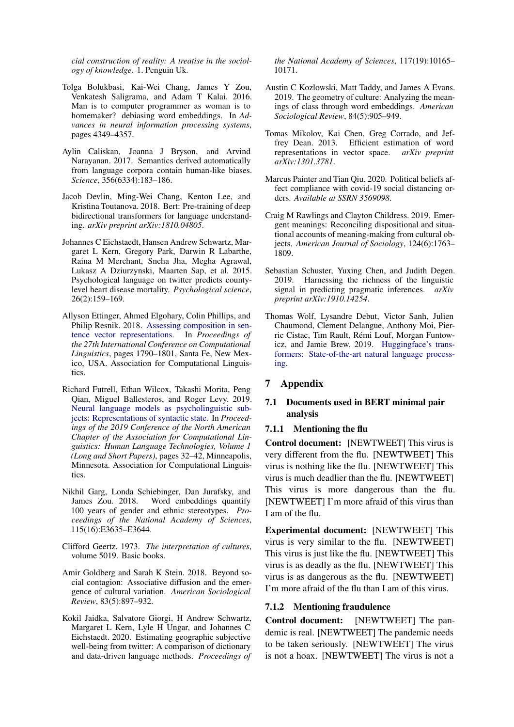*cial construction of reality: A treatise in the sociology of knowledge*. 1. Penguin Uk.

- <span id="page-9-4"></span>Tolga Bolukbasi, Kai-Wei Chang, James Y Zou, Venkatesh Saligrama, and Adam T Kalai. 2016. Man is to computer programmer as woman is to homemaker? debiasing word embeddings. In *Advances in neural information processing systems*, pages 4349–4357.
- <span id="page-9-5"></span>Aylin Caliskan, Joanna J Bryson, and Arvind Narayanan. 2017. Semantics derived automatically from language corpora contain human-like biases. *Science*, 356(6334):183–186.
- <span id="page-9-11"></span>Jacob Devlin, Ming-Wei Chang, Kenton Lee, and Kristina Toutanova. 2018. Bert: Pre-training of deep bidirectional transformers for language understanding. *arXiv preprint arXiv:1810.04805*.
- <span id="page-9-8"></span>Johannes C Eichstaedt, Hansen Andrew Schwartz, Margaret L Kern, Gregory Park, Darwin R Labarthe, Raina M Merchant, Sneha Jha, Megha Agrawal, Lukasz A Dziurzynski, Maarten Sap, et al. 2015. Psychological language on twitter predicts countylevel heart disease mortality. *Psychological science*, 26(2):159–169.
- <span id="page-9-14"></span>Allyson Ettinger, Ahmed Elgohary, Colin Phillips, and Philip Resnik. 2018. [Assessing composition in sen](https://www.aclweb.org/anthology/C18-1152)[tence vector representations.](https://www.aclweb.org/anthology/C18-1152) In *Proceedings of the 27th International Conference on Computational Linguistics*, pages 1790–1801, Santa Fe, New Mexico, USA. Association for Computational Linguistics.
- <span id="page-9-15"></span>Richard Futrell, Ethan Wilcox, Takashi Morita, Peng Qian, Miguel Ballesteros, and Roger Levy. 2019. [Neural language models as psycholinguistic sub](https://doi.org/10.18653/v1/N19-1004)[jects: Representations of syntactic state.](https://doi.org/10.18653/v1/N19-1004) In *Proceedings of the 2019 Conference of the North American Chapter of the Association for Computational Linguistics: Human Language Technologies, Volume 1 (Long and Short Papers)*, pages 32–42, Minneapolis, Minnesota. Association for Computational Linguistics.
- <span id="page-9-6"></span>Nikhil Garg, Londa Schiebinger, Dan Jurafsky, and James Zou. 2018. Word embeddings quantify 100 years of gender and ethnic stereotypes. *Proceedings of the National Academy of Sciences*, 115(16):E3635–E3644.
- <span id="page-9-2"></span>Clifford Geertz. 1973. *The interpretation of cultures*, volume 5019. Basic books.
- <span id="page-9-1"></span>Amir Goldberg and Sarah K Stein. 2018. Beyond social contagion: Associative diffusion and the emergence of cultural variation. *American Sociological Review*, 83(5):897–932.
- <span id="page-9-9"></span>Kokil Jaidka, Salvatore Giorgi, H Andrew Schwartz, Margaret L Kern, Lyle H Ungar, and Johannes C Eichstaedt. 2020. Estimating geographic subjective well-being from twitter: A comparison of dictionary and data-driven language methods. *Proceedings of*

*the National Academy of Sciences*, 117(19):10165– 10171.

- <span id="page-9-7"></span>Austin C Kozlowski, Matt Taddy, and James A Evans. 2019. The geometry of culture: Analyzing the meanings of class through word embeddings. *American Sociological Review*, 84(5):905–949.
- <span id="page-9-10"></span>Tomas Mikolov, Kai Chen, Greg Corrado, and Jeffrey Dean. 2013. Efficient estimation of word representations in vector space. *arXiv preprint arXiv:1301.3781*.
- <span id="page-9-0"></span>Marcus Painter and Tian Qiu. 2020. Political beliefs affect compliance with covid-19 social distancing orders. *Available at SSRN 3569098*.
- <span id="page-9-3"></span>Craig M Rawlings and Clayton Childress. 2019. Emergent meanings: Reconciling dispositional and situational accounts of meaning-making from cultural objects. *American Journal of Sociology*, 124(6):1763– 1809.
- <span id="page-9-13"></span>Sebastian Schuster, Yuxing Chen, and Judith Degen. 2019. Harnessing the richness of the linguistic signal in predicting pragmatic inferences. *arXiv preprint arXiv:1910.14254*.
- <span id="page-9-12"></span>Thomas Wolf, Lysandre Debut, Victor Sanh, Julien Chaumond, Clement Delangue, Anthony Moi, Pierric Cistac, Tim Rault, Remi Louf, Morgan Funtow- ´ icz, and Jamie Brew. 2019. [Huggingface's trans](http://arxiv.org/abs/1910.03771)[formers: State-of-the-art natural language process](http://arxiv.org/abs/1910.03771)[ing.](http://arxiv.org/abs/1910.03771)

#### 7 Appendix

## 7.1 Documents used in BERT minimal pair analysis

#### 7.1.1 Mentioning the flu

Control document: [NEWTWEET] This virus is very different from the flu. [NEWTWEET] This virus is nothing like the flu. [NEWTWEET] This virus is much deadlier than the flu. [NEWTWEET] This virus is more dangerous than the flu. [NEWTWEET] I'm more afraid of this virus than I am of the flu.

Experimental document: [NEWTWEET] This virus is very similar to the flu. [NEWTWEET] This virus is just like the flu. [NEWTWEET] This virus is as deadly as the flu. [NEWTWEET] This virus is as dangerous as the flu. [NEWTWEET] I'm more afraid of the flu than I am of this virus.

#### 7.1.2 Mentioning fraudulence

Control document: [NEWTWEET] The pandemic is real. [NEWTWEET] The pandemic needs to be taken seriously. [NEWTWEET] The virus is not a hoax. [NEWTWEET] The virus is not a